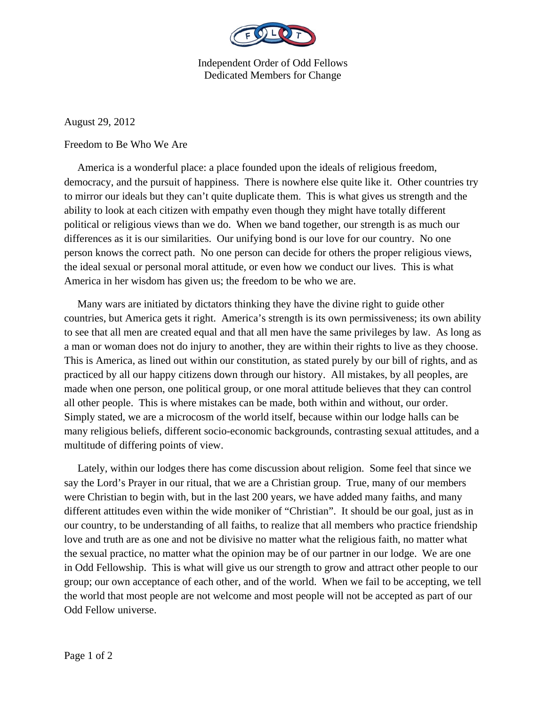

Independent Order of Odd Fellows Dedicated Members for Change

August 29, 2012

Freedom to Be Who We Are

 America is a wonderful place: a place founded upon the ideals of religious freedom, democracy, and the pursuit of happiness. There is nowhere else quite like it. Other countries try to mirror our ideals but they can't quite duplicate them. This is what gives us strength and the ability to look at each citizen with empathy even though they might have totally different political or religious views than we do. When we band together, our strength is as much our differences as it is our similarities. Our unifying bond is our love for our country. No one person knows the correct path. No one person can decide for others the proper religious views, the ideal sexual or personal moral attitude, or even how we conduct our lives. This is what America in her wisdom has given us; the freedom to be who we are.

 Many wars are initiated by dictators thinking they have the divine right to guide other countries, but America gets it right. America's strength is its own permissiveness; its own ability to see that all men are created equal and that all men have the same privileges by law. As long as a man or woman does not do injury to another, they are within their rights to live as they choose. This is America, as lined out within our constitution, as stated purely by our bill of rights, and as practiced by all our happy citizens down through our history. All mistakes, by all peoples, are made when one person, one political group, or one moral attitude believes that they can control all other people. This is where mistakes can be made, both within and without, our order. Simply stated, we are a microcosm of the world itself, because within our lodge halls can be many religious beliefs, different socio-economic backgrounds, contrasting sexual attitudes, and a multitude of differing points of view.

 Lately, within our lodges there has come discussion about religion. Some feel that since we say the Lord's Prayer in our ritual, that we are a Christian group. True, many of our members were Christian to begin with, but in the last 200 years, we have added many faiths, and many different attitudes even within the wide moniker of "Christian". It should be our goal, just as in our country, to be understanding of all faiths, to realize that all members who practice friendship love and truth are as one and not be divisive no matter what the religious faith, no matter what the sexual practice, no matter what the opinion may be of our partner in our lodge. We are one in Odd Fellowship. This is what will give us our strength to grow and attract other people to our group; our own acceptance of each other, and of the world. When we fail to be accepting, we tell the world that most people are not welcome and most people will not be accepted as part of our Odd Fellow universe.